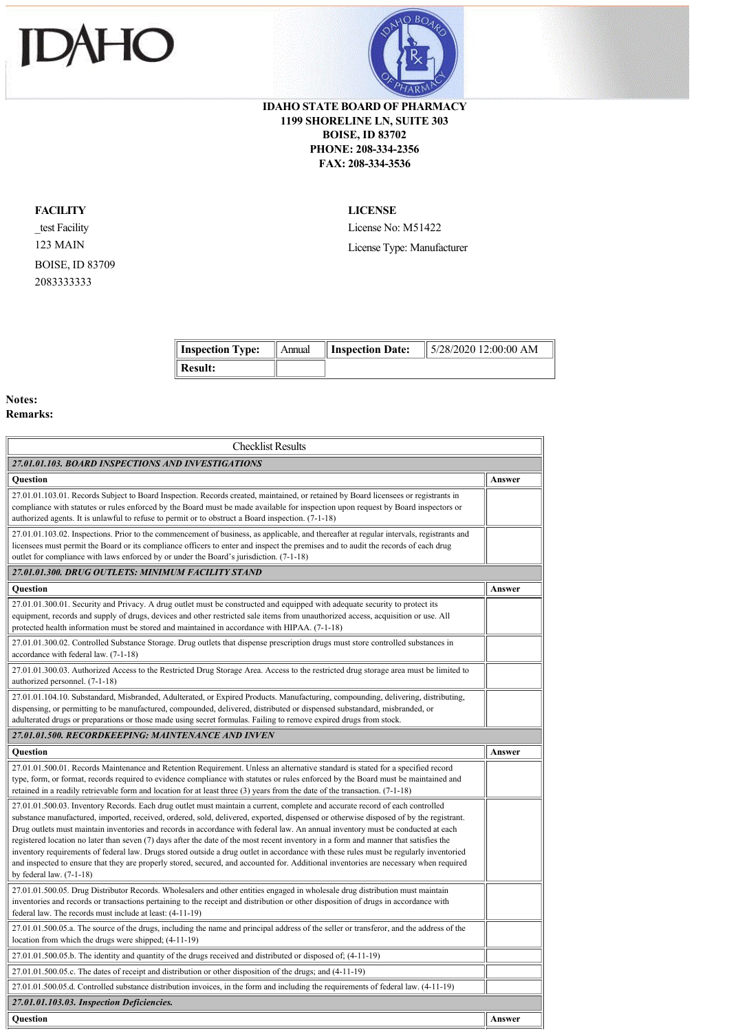



## **IDAHO STATE BOARD OF PHARMACY 1199 SHORELINE LN, SUITE 303 BOISE, ID 83702 PHONE: 208-334-2356 FAX: 208-334-3536**

## **FACILITY**

\_test Facility 123 MAIN BOISE, ID 83709 2083333333

**LICENSE**

License No: M51422 License Type: Manufacturer

|                |  | Inspection Type:    Annual    Inspection Date:    $5/28/2020$ 12:00:00 AM |
|----------------|--|---------------------------------------------------------------------------|
| <b>Result:</b> |  |                                                                           |

## **Notes: Remarks:**

| <b>Checklist Results</b>                                                                                                                                                                                                                                                                                                                                                                                                                                                                                                                                                                                                                                                                                                                                                                                                                                            |        |  |  |  |
|---------------------------------------------------------------------------------------------------------------------------------------------------------------------------------------------------------------------------------------------------------------------------------------------------------------------------------------------------------------------------------------------------------------------------------------------------------------------------------------------------------------------------------------------------------------------------------------------------------------------------------------------------------------------------------------------------------------------------------------------------------------------------------------------------------------------------------------------------------------------|--------|--|--|--|
| 27.01.01.103. BOARD INSPECTIONS AND INVESTIGATIONS                                                                                                                                                                                                                                                                                                                                                                                                                                                                                                                                                                                                                                                                                                                                                                                                                  |        |  |  |  |
| <b>Ouestion</b>                                                                                                                                                                                                                                                                                                                                                                                                                                                                                                                                                                                                                                                                                                                                                                                                                                                     | Answer |  |  |  |
| 27.01.01.103.01. Records Subject to Board Inspection. Records created, maintained, or retained by Board licensees or registrants in<br>compliance with statutes or rules enforced by the Board must be made available for inspection upon request by Board inspectors or<br>authorized agents. It is unlawful to refuse to permit or to obstruct a Board inspection. (7-1-18)                                                                                                                                                                                                                                                                                                                                                                                                                                                                                       |        |  |  |  |
| 27.01.01.103.02. Inspections. Prior to the commencement of business, as applicable, and thereafter at regular intervals, registrants and<br>licensees must permit the Board or its compliance officers to enter and inspect the premises and to audit the records of each drug<br>outlet for compliance with laws enforced by or under the Board's jurisdiction. (7-1-18)                                                                                                                                                                                                                                                                                                                                                                                                                                                                                           |        |  |  |  |
| 27.01.01.300. DRUG OUTLETS: MINIMUM FACILITY STAND                                                                                                                                                                                                                                                                                                                                                                                                                                                                                                                                                                                                                                                                                                                                                                                                                  |        |  |  |  |
| <b>Ouestion</b>                                                                                                                                                                                                                                                                                                                                                                                                                                                                                                                                                                                                                                                                                                                                                                                                                                                     | Answer |  |  |  |
| 27.01.01.300.01. Security and Privacy. A drug outlet must be constructed and equipped with adequate security to protect its<br>equipment, records and supply of drugs, devices and other restricted sale items from unauthorized access, acquisition or use. All<br>protected health information must be stored and maintained in accordance with HIPAA. (7-1-18)                                                                                                                                                                                                                                                                                                                                                                                                                                                                                                   |        |  |  |  |
| 27.01.01.300.02. Controlled Substance Storage. Drug outlets that dispense prescription drugs must store controlled substances in<br>accordance with federal law. (7-1-18)                                                                                                                                                                                                                                                                                                                                                                                                                                                                                                                                                                                                                                                                                           |        |  |  |  |
| 27.01.01.300.03. Authorized Access to the Restricted Drug Storage Area. Access to the restricted drug storage area must be limited to<br>authorized personnel. (7-1-18)                                                                                                                                                                                                                                                                                                                                                                                                                                                                                                                                                                                                                                                                                             |        |  |  |  |
| 27.01.01.104.10. Substandard, Misbranded, Adulterated, or Expired Products. Manufacturing, compounding, delivering, distributing,<br>dispensing, or permitting to be manufactured, compounded, delivered, distributed or dispensed substandard, misbranded, or<br>adulterated drugs or preparations or those made using secret formulas. Failing to remove expired drugs from stock.                                                                                                                                                                                                                                                                                                                                                                                                                                                                                |        |  |  |  |
| 27.01.01.500, RECORDKEEPING: MAINTENANCE AND INVEN                                                                                                                                                                                                                                                                                                                                                                                                                                                                                                                                                                                                                                                                                                                                                                                                                  |        |  |  |  |
|                                                                                                                                                                                                                                                                                                                                                                                                                                                                                                                                                                                                                                                                                                                                                                                                                                                                     |        |  |  |  |
| <b>Question</b>                                                                                                                                                                                                                                                                                                                                                                                                                                                                                                                                                                                                                                                                                                                                                                                                                                                     | Answer |  |  |  |
| 27.01.01.500.01. Records Maintenance and Retention Requirement. Unless an alternative standard is stated for a specified record<br>type, form, or format, records required to evidence compliance with statutes or rules enforced by the Board must be maintained and<br>retained in a readily retrievable form and location for at least three $(3)$ years from the date of the transaction. $(7-1-18)$                                                                                                                                                                                                                                                                                                                                                                                                                                                            |        |  |  |  |
| 27.01.01.500.03. Inventory Records. Each drug outlet must maintain a current, complete and accurate record of each controlled<br>substance manufactured, imported, received, ordered, sold, delivered, exported, dispensed or otherwise disposed of by the registrant.<br>Drug outlets must maintain inventories and records in accordance with federal law. An annual inventory must be conducted at each<br>registered location no later than seven (7) days after the date of the most recent inventory in a form and manner that satisfies the<br>inventory requirements of federal law. Drugs stored outside a drug outlet in accordance with these rules must be regularly inventoried<br>and inspected to ensure that they are properly stored, secured, and accounted for. Additional inventories are necessary when required<br>by federal law. $(7-1-18)$ |        |  |  |  |
| 27.01.01.500.05. Drug Distributor Records. Wholesalers and other entities engaged in wholesale drug distribution must maintain<br>inventories and records or transactions pertaining to the receipt and distribution or other disposition of drugs in accordance with<br>federal law. The records must include at least: (4-11-19)                                                                                                                                                                                                                                                                                                                                                                                                                                                                                                                                  |        |  |  |  |
| 27.01.01.500.05.a. The source of the drugs, including the name and principal address of the seller or transferor, and the address of the<br>location from which the drugs were shipped; (4-11-19)                                                                                                                                                                                                                                                                                                                                                                                                                                                                                                                                                                                                                                                                   |        |  |  |  |
| 27.01.01.500.05.b. The identity and quantity of the drugs received and distributed or disposed of; (4-11-19)                                                                                                                                                                                                                                                                                                                                                                                                                                                                                                                                                                                                                                                                                                                                                        |        |  |  |  |
| 27.01.01.500.05.c. The dates of receipt and distribution or other disposition of the drugs; and (4-11-19)                                                                                                                                                                                                                                                                                                                                                                                                                                                                                                                                                                                                                                                                                                                                                           |        |  |  |  |
| 27.01.01.500.05.d. Controlled substance distribution invoices, in the form and including the requirements of federal law. (4-11-19)                                                                                                                                                                                                                                                                                                                                                                                                                                                                                                                                                                                                                                                                                                                                 |        |  |  |  |
| 27.01.01.103.03. Inspection Deficiencies.                                                                                                                                                                                                                                                                                                                                                                                                                                                                                                                                                                                                                                                                                                                                                                                                                           |        |  |  |  |
| Question                                                                                                                                                                                                                                                                                                                                                                                                                                                                                                                                                                                                                                                                                                                                                                                                                                                            | Answer |  |  |  |